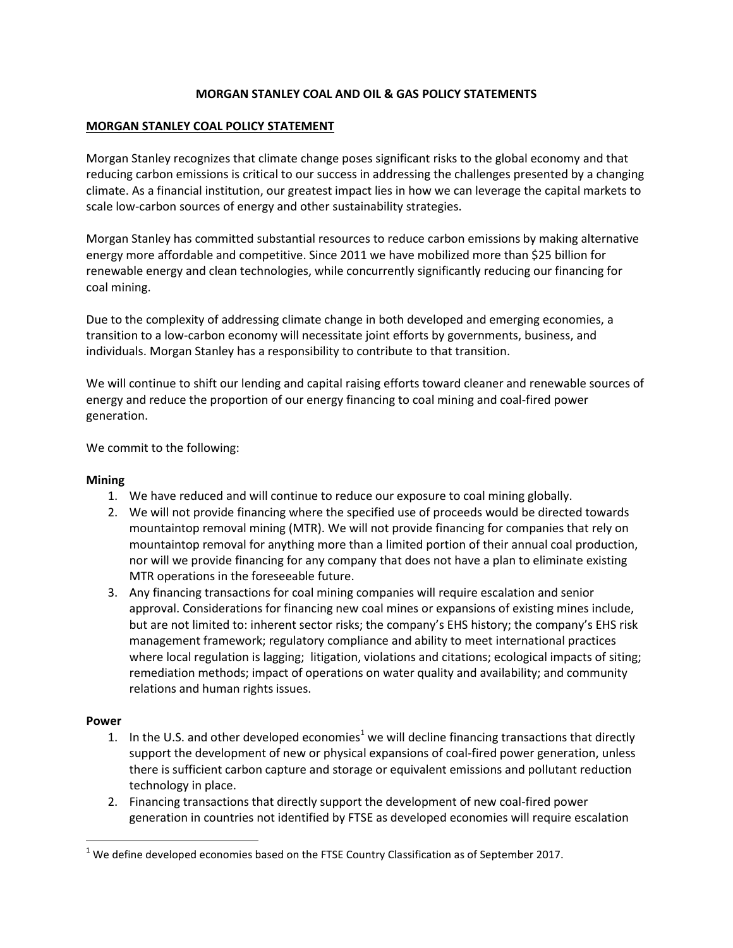# **MORGAN STANLEY COAL AND OIL & GAS POLICY STATEMENTS**

# **MORGAN STANLEY COAL POLICY STATEMENT**

Morgan Stanley recognizes that climate change poses significant risks to the global economy and that reducing carbon emissions is critical to our success in addressing the challenges presented by a changing climate. As a financial institution, our greatest impact lies in how we can leverage the capital markets to scale low-carbon sources of energy and other sustainability strategies.

Morgan Stanley has committed substantial resources to reduce carbon emissions by making alternative energy more affordable and competitive. Since 2011 we have mobilized more than \$25 billion for renewable energy and clean technologies, while concurrently significantly reducing our financing for coal mining.

Due to the complexity of addressing climate change in both developed and emerging economies, a transition to a low-carbon economy will necessitate joint efforts by governments, business, and individuals. Morgan Stanley has a responsibility to contribute to that transition.

We will continue to shift our lending and capital raising efforts toward cleaner and renewable sources of energy and reduce the proportion of our energy financing to coal mining and coal-fired power generation.

We commit to the following:

## **Mining**

- 1. We have reduced and will continue to reduce our exposure to coal mining globally.
- 2. We will not provide financing where the specified use of proceeds would be directed towards mountaintop removal mining (MTR). We will not provide financing for companies that rely on mountaintop removal for anything more than a limited portion of their annual coal production, nor will we provide financing for any company that does not have a plan to eliminate existing MTR operations in the foreseeable future.
- 3. Any financing transactions for coal mining companies will require escalation and senior approval. Considerations for financing new coal mines or expansions of existing mines include, but are not limited to: inherent sector risks; the company's EHS history; the company's EHS risk management framework; regulatory compliance and ability to meet international practices where local regulation is lagging; litigation, violations and citations; ecological impacts of siting; remediation methods; impact of operations on water quality and availability; and community relations and human rights issues.

## **Power**

 $\overline{\phantom{a}}$ 

- 1. In the U.S. and other developed economies<sup>1</sup> we will decline financing transactions that directly support the development of new or physical expansions of coal-fired power generation, unless there is sufficient carbon capture and storage or equivalent emissions and pollutant reduction technology in place.
- 2. Financing transactions that directly support the development of new coal-fired power generation in countries not identified by FTSE as developed economies will require escalation

 $<sup>1</sup>$  We define developed economies based on the FTSE Country Classification as of September 2017.</sup>